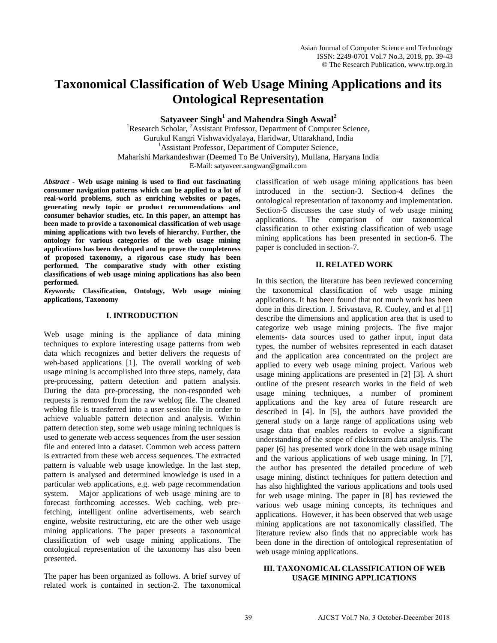# **Taxonomical Classification of Web Usage Mining Applications and its Ontological Representation**

**Satyaveer Singh<sup>1</sup> and Mahendra Singh Aswal<sup>2</sup>**

<sup>1</sup>Research Scholar, <sup>2</sup>Assistant Professor, Department of Computer Science, Gurukul Kangri Vishwavidyalaya, Haridwar, Uttarakhand, India <sup>1</sup>Assistant Professor, Department of Computer Science, Maharishi Markandeshwar (Deemed To Be University), Mullana, Haryana India E-Mail: satyaveer.sangwan@gmail.com

*Abstract -* **Web usage mining is used to find out fascinating consumer navigation patterns which can be applied to a lot of real-world problems, such as enriching websites or pages, generating newly topic or product recommendations and consumer behavior studies, etc. In this paper, an attempt has been made to provide a taxonomical classification of web usage mining applications with two levels of hierarchy. Further, the ontology for various categories of the web usage mining applications has been developed and to prove the completeness of proposed taxonomy, a rigorous case study has been performed. The comparative study with other existing classifications of web usage mining applications has also been performed.** 

*Keywords:* **Classification, Ontology, Web usage mining applications, Taxonomy**

#### **I. INTRODUCTION**

Web usage mining is the appliance of data mining techniques to explore interesting usage patterns from web data which recognizes and better delivers the requests of web-based applications [1]. The overall working of web usage mining is accomplished into three steps, namely, data pre-processing, pattern detection and pattern analysis. During the data pre-processing, the non-responded web requests is removed from the raw weblog file. The cleaned weblog file is transferred into a user session file in order to achieve valuable pattern detection and analysis. Within pattern detection step, some web usage mining techniques is used to generate web access sequences from the user session file and entered into a dataset. Common web access pattern is extracted from these web access sequences. The extracted pattern is valuable web usage knowledge. In the last step, pattern is analysed and determined knowledge is used in a particular web applications, e.g. web page recommendation system. Major applications of web usage mining are to forecast forthcoming accesses. Web caching, web prefetching, intelligent online advertisements, web search engine, website restructuring, etc are the other web usage mining applications. The paper presents a taxonomical classification of web usage mining applications. The ontological representation of the taxonomy has also been presented.

The paper has been organized as follows. A brief survey of related work is contained in section-2. The taxonomical classification of web usage mining applications has been introduced in the section-3. Section-4 defines the ontological representation of taxonomy and implementation. Section-5 discusses the case study of web usage mining applications. The comparison of our taxonomical classification to other existing classification of web usage mining applications has been presented in section-6. The paper is concluded in section-7.

#### **II. RELATED WORK**

In this section, the literature has been reviewed concerning the taxonomical classification of web usage mining applications. It has been found that not much work has been done in this direction. J. Srivastava, R. Cooley, and et al [1] describe the dimensions and application area that is used to categorize web usage mining projects. The five major elements- data sources used to gather input, input data types, the number of websites represented in each dataset and the application area concentrated on the project are applied to every web usage mining project. Various web usage mining applications are presented in [2] [3]. A short outline of the present research works in the field of web usage mining techniques, a number of prominent applications and the key area of future research are described in [4]. In [5], the authors have provided the general study on a large range of applications using web usage data that enables readers to evolve a significant understanding of the scope of clickstream data analysis. The paper [6] has presented work done in the web usage mining and the various applications of web usage mining. In [7], the author has presented the detailed procedure of web usage mining, distinct techniques for pattern detection and has also highlighted the various applications and tools used for web usage mining. The paper in [8] has reviewed the various web usage mining concepts, its techniques and applications. However, it has been observed that web usage mining applications are not taxonomically classified. The literature review also finds that no appreciable work has been done in the direction of ontological representation of web usage mining applications.

## **III. TAXONOMICAL CLASSIFICATION OF WEB USAGE MINING APPLICATIONS**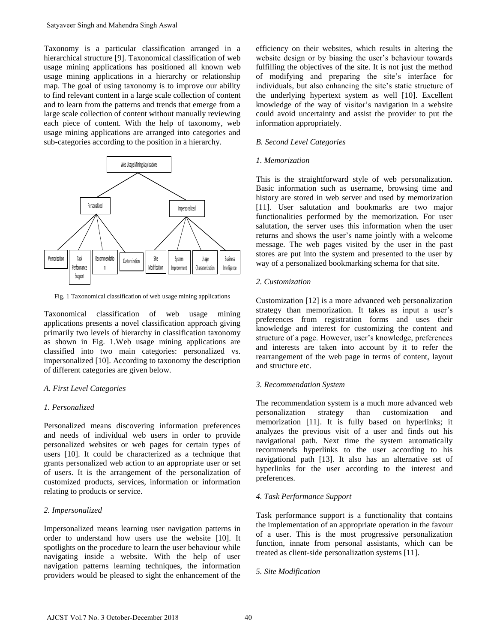Taxonomy is a particular classification arranged in a [hierarchical](http://en.wikipedia.org/wiki/Hierarchical) structure [9]. Taxonomical classification of web usage mining applications has positioned all known web usage mining applications in a hierarchy or relationship map. The goal of using taxonomy is to improve our ability to find relevant content in a large scale collection of content and to learn from the patterns and trends that emerge from a large scale collection of content without manually reviewing each piece of content. With the help of taxonomy, web usage mining applications are arranged into categories and sub-categories according to the position in a hierarchy.



Fig. 1 Taxonomical classification of web usage mining applications

Taxonomical classification of web usage mining applications presents a novel classification approach giving primarily two levels of hierarchy in classification taxonomy as shown in Fig. 1.Web usage mining applications are classified into two main categories: personalized vs. impersonalized [10]. According to taxonomy the description of different categories are given below.

# *A. First Level Categories*

### *1. Personalized*

Personalized means discovering information preferences and needs of individual web users in order to provide personalized websites or web pages for certain types of users [10]. It could be characterized as a technique that grants personalized web action to an appropriate user or set of users. It is the arrangement of the personalization of customized products, services, information or information relating to products or service.

# *2. Impersonalized*

Impersonalized means learning user navigation patterns in order to understand how users use the website [10]. It spotlights on the procedure to learn the user behaviour while navigating inside a website. With the help of user navigation patterns learning techniques, the information providers would be pleased to sight the enhancement of the efficiency on their websites, which results in altering the website design or by biasing the user's behaviour towards fulfilling the objectives of the site. It is not just the method of modifying and preparing the site's interface for individuals, but also enhancing the site's static structure of the underlying hypertext system as well [10]. Excellent knowledge of the way of visitor's navigation in a website could avoid uncertainty and assist the provider to put the information appropriately.

## *B. Second Level Categories*

#### *1. Memorization*

This is the straightforward style of web personalization. Basic information such as username, browsing time and history are stored in web server and used by memorization [11]. User salutation and bookmarks are two major functionalities performed by the memorization. For user salutation, the server uses this information when the user returns and shows the user's name jointly with a welcome message. The web pages visited by the user in the past stores are put into the system and presented to the user by way of a personalized bookmarking schema for that site.

### *2. Customization*

Customization [12] is a more advanced web personalization strategy than memorization. It takes as input a user's preferences from registration forms and uses their knowledge and interest for customizing the content and structure of a page. However, user's knowledge, preferences and interests are taken into account by it to refer the rearrangement of the web page in terms of content, layout and structure etc.

### *3. Recommendation System*

The recommendation system is a much more advanced web personalization strategy than customization and memorization [11]. It is fully based on hyperlinks; it analyzes the previous visit of a user and finds out his navigational path. Next time the system automatically recommends hyperlinks to the user according to his navigational path [13]. It also has an alternative set of hyperlinks for the user according to the interest and preferences.

### *4. Task Performance Support*

Task performance support is a functionality that contains the implementation of an appropriate operation in the favour of a user. This is the most progressive personalization function, innate from personal assistants, which can be treated as client-side personalization systems [11].

# *5. Site Modification*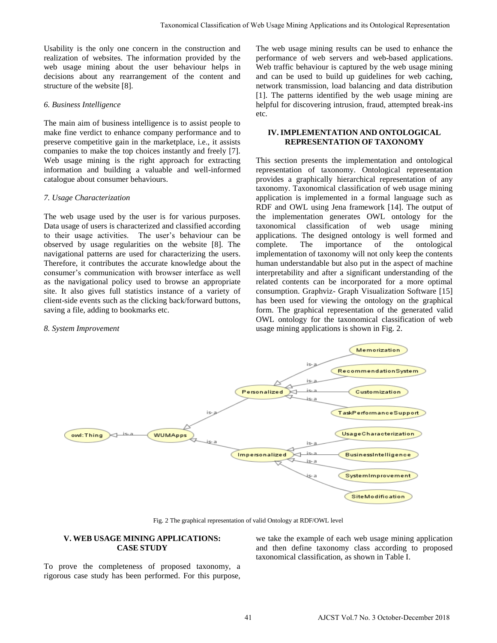Usability is the only one concern in the construction and realization of websites. The information provided by the web usage mining about the user behaviour helps in decisions about any rearrangement of the content and structure of the website [8].

## *6. Business Intelligence*

The main aim of business intelligence is to assist people to make fine verdict to enhance company performance and to preserve competitive gain in the marketplace, i.e., it assists companies to make the top choices instantly and freely [7]. Web usage mining is the right approach for extracting information and building a valuable and well-informed catalogue about consumer behaviours.

## *7. Usage Characterization*

The web usage used by the user is for various purposes. Data usage of users is characterized and classified according to their usage activities. The user's behaviour can be observed by usage regularities on the website [8]. The navigational patterns are used for characterizing the users. Therefore, it contributes the accurate knowledge about the consumer's communication with browser interface as well as the navigational policy used to browse an appropriate site. It also gives full statistics instance of a variety of client-side events such as the clicking back/forward buttons, saving a file, adding to bookmarks etc.

# *8. System Improvement*

The web usage mining results can be used to enhance the performance of web servers and web-based applications. Web traffic behaviour is captured by the web usage mining and can be used to build up guidelines for web caching, network transmission, load balancing and data distribution [1]. The patterns identified by the web usage mining are helpful for discovering intrusion, fraud, attempted break-ins etc.

## **IV. IMPLEMENTATION AND ONTOLOGICAL REPRESENTATION OF TAXONOMY**

This section presents the implementation and ontological representation of taxonomy. Ontological representation provides a graphically hierarchical representation of any taxonomy. Taxonomical classification of web usage mining application is implemented in a formal language such as RDF and OWL using Jena framework [14]. The output of the implementation generates OWL ontology for the taxonomical classification of web usage mining applications. The designed ontology is well formed and complete. The importance of the ontological implementation of taxonomy will not only keep the contents human understandable but also put in the aspect of machine interpretability and after a significant understanding of the related contents can be incorporated for a more optimal consumption. Graphviz- Graph Visualization Software [15] has been used for viewing the ontology on the graphical form. The graphical representation of the generated valid OWL ontology for the taxonomical classification of web usage mining applications is shown in Fig. 2.



Fig. 2 The graphical representation of valid Ontology at RDF/OWL level

### **V. WEB USAGE MINING APPLICATIONS: CASE STUDY**

To prove the completeness of proposed taxonomy, a rigorous case study has been performed. For this purpose,

we take the example of each web usage mining application and then define taxonomy class according to proposed taxonomical classification, as shown in Table I.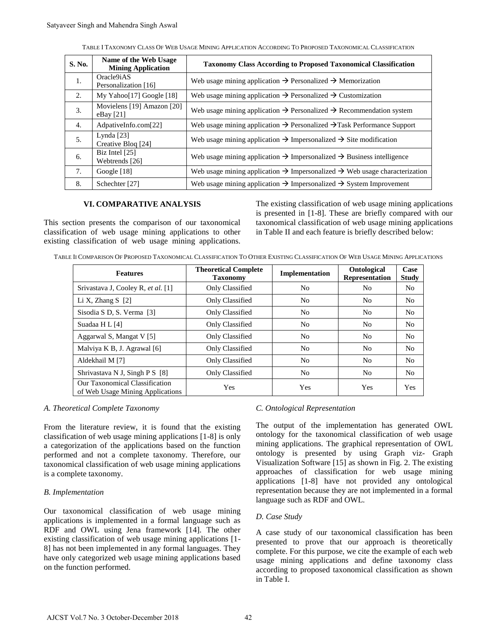| TABLE I TAXONOMY CLASS OF WEB USAGE MINING APPLICATION ACCORDING TO PROPOSED TAXONOMICAL CLASSIFICATION |
|---------------------------------------------------------------------------------------------------------|
|---------------------------------------------------------------------------------------------------------|

| S. No.                                                             | Name of the Web Usage<br><b>Mining Application</b>                                                                                                                                                                                                                                                                                                                                                                                                                                                                                            | <b>Taxonomy Class According to Proposed Taxonomical Classification</b>                             |               |                                                                |                                                                                                                                                                                                                                                                                                                                                                                                                                                                                     |                      |  |
|--------------------------------------------------------------------|-----------------------------------------------------------------------------------------------------------------------------------------------------------------------------------------------------------------------------------------------------------------------------------------------------------------------------------------------------------------------------------------------------------------------------------------------------------------------------------------------------------------------------------------------|----------------------------------------------------------------------------------------------------|---------------|----------------------------------------------------------------|-------------------------------------------------------------------------------------------------------------------------------------------------------------------------------------------------------------------------------------------------------------------------------------------------------------------------------------------------------------------------------------------------------------------------------------------------------------------------------------|----------------------|--|
| 1.                                                                 | Oracle9iAS<br>Personalization [16]                                                                                                                                                                                                                                                                                                                                                                                                                                                                                                            | Web usage mining application $\rightarrow$ Personalized $\rightarrow$ Memorization                 |               |                                                                |                                                                                                                                                                                                                                                                                                                                                                                                                                                                                     |                      |  |
| 2.                                                                 | My Yahoo[17] Google [18]                                                                                                                                                                                                                                                                                                                                                                                                                                                                                                                      | Web usage mining application $\rightarrow$ Personalized $\rightarrow$ Customization                |               |                                                                |                                                                                                                                                                                                                                                                                                                                                                                                                                                                                     |                      |  |
| 3.                                                                 | Movielens [19] Amazon [20]<br>eBay [21]                                                                                                                                                                                                                                                                                                                                                                                                                                                                                                       | Web usage mining application $\rightarrow$ Personalized $\rightarrow$ Recommendation system        |               |                                                                |                                                                                                                                                                                                                                                                                                                                                                                                                                                                                     |                      |  |
| 4.                                                                 | AdpativeInfo.com[22]                                                                                                                                                                                                                                                                                                                                                                                                                                                                                                                          | Web usage mining application $\rightarrow$ Personalized $\rightarrow$ Task Performance Support     |               |                                                                |                                                                                                                                                                                                                                                                                                                                                                                                                                                                                     |                      |  |
| 5.                                                                 | Lynda <sup>[23]</sup><br>Creative Bloq [24]                                                                                                                                                                                                                                                                                                                                                                                                                                                                                                   | Web usage mining application $\rightarrow$ Impersonalized $\rightarrow$ Site modification          |               |                                                                |                                                                                                                                                                                                                                                                                                                                                                                                                                                                                     |                      |  |
| 6.                                                                 | Biz Intel [25]<br>Webtrends [26]                                                                                                                                                                                                                                                                                                                                                                                                                                                                                                              | Web usage mining application $\rightarrow$ Impersonalized $\rightarrow$ Business intelligence      |               |                                                                |                                                                                                                                                                                                                                                                                                                                                                                                                                                                                     |                      |  |
| 7.                                                                 | Google [18]                                                                                                                                                                                                                                                                                                                                                                                                                                                                                                                                   | Web usage mining application $\rightarrow$ Impersonalized $\rightarrow$ Web usage characterization |               |                                                                |                                                                                                                                                                                                                                                                                                                                                                                                                                                                                     |                      |  |
| 8.                                                                 | Schechter <sup>[27]</sup>                                                                                                                                                                                                                                                                                                                                                                                                                                                                                                                     | Web usage mining application $\rightarrow$ Impersonalized $\rightarrow$ System Improvement         |               |                                                                |                                                                                                                                                                                                                                                                                                                                                                                                                                                                                     |                      |  |
|                                                                    | lassification of web usage mining applications to other<br>xisting classification of web usage mining applications.<br>TABLE II COMPARISON OF PROPOSED TAXONOMICAL CLASSIFICATION TO OTHER EXISTING CLASSIFICATION OF WEB USAGE MINING APPLICATI<br><b>Features</b>                                                                                                                                                                                                                                                                           | <b>Theoretical Complete</b><br><b>Taxonomy</b>                                                     |               | Implementation                                                 | in Table II and each feature is briefly described below<br>Ontological<br>Representation                                                                                                                                                                                                                                                                                                                                                                                            | Case<br><b>Study</b> |  |
|                                                                    | Srivastava J, Cooley R, et al. [1]                                                                                                                                                                                                                                                                                                                                                                                                                                                                                                            | Only Classified                                                                                    |               | No                                                             | No                                                                                                                                                                                                                                                                                                                                                                                                                                                                                  | No                   |  |
| Li X, Zhang S [2]                                                  |                                                                                                                                                                                                                                                                                                                                                                                                                                                                                                                                               | Only Classified                                                                                    |               | N <sub>o</sub>                                                 | No                                                                                                                                                                                                                                                                                                                                                                                                                                                                                  | No                   |  |
| Sisodia S D, S. Verma [3]                                          |                                                                                                                                                                                                                                                                                                                                                                                                                                                                                                                                               | Only Classified                                                                                    |               | No                                                             | No                                                                                                                                                                                                                                                                                                                                                                                                                                                                                  | No                   |  |
| Suadaa H L [4]                                                     |                                                                                                                                                                                                                                                                                                                                                                                                                                                                                                                                               | Only Classified                                                                                    |               | N <sub>o</sub>                                                 | N <sub>o</sub>                                                                                                                                                                                                                                                                                                                                                                                                                                                                      | No                   |  |
| Aggarwal S, Mangat V [5]                                           |                                                                                                                                                                                                                                                                                                                                                                                                                                                                                                                                               | Only Classified                                                                                    |               | No                                                             | No                                                                                                                                                                                                                                                                                                                                                                                                                                                                                  | No                   |  |
| Malviya K B, J. Agrawal [6]                                        |                                                                                                                                                                                                                                                                                                                                                                                                                                                                                                                                               | Only Classified                                                                                    |               | No                                                             | N <sub>o</sub>                                                                                                                                                                                                                                                                                                                                                                                                                                                                      | No                   |  |
| Aldekhail M [7]                                                    |                                                                                                                                                                                                                                                                                                                                                                                                                                                                                                                                               | Only Classified                                                                                    |               | No                                                             | No                                                                                                                                                                                                                                                                                                                                                                                                                                                                                  | No                   |  |
| Shrivastava N J, Singh P S [8]                                     |                                                                                                                                                                                                                                                                                                                                                                                                                                                                                                                                               | Only Classified                                                                                    |               | N <sub>o</sub>                                                 | No                                                                                                                                                                                                                                                                                                                                                                                                                                                                                  | No                   |  |
| Our Taxonomical Classification<br>of Web Usage Mining Applications |                                                                                                                                                                                                                                                                                                                                                                                                                                                                                                                                               | Yes                                                                                                |               | Yes                                                            | Yes                                                                                                                                                                                                                                                                                                                                                                                                                                                                                 | Yes                  |  |
| 3. Implementation                                                  | . Theoretical Complete Taxonomy<br>From the literature review, it is found that the existing<br>lassification of web usage mining applications [1-8] is only<br>categorization of the applications based on the function<br>erformed and not a complete taxonomy. Therefore, our<br>axonomical classification of web usage mining applications<br>s a complete taxonomy.<br>Our taxonomical classification of web usage mining<br>pplications is implemented in a formal language such as<br>RDF and OWL using Jena framework [14]. The other |                                                                                                    | D. Case Study | C. Ontological Representation<br>language such as RDF and OWL. | The output of the implementation has generated<br>ontology for the taxonomical classification of web<br>mining applications. The graphical representation of<br>ontology is presented by using Graph viz-<br>Visualization Software [15] as shown in Fig. 2. The en<br>approaches of classification for web usage a<br>applications [1-8] have not provided any ontol<br>representation because they are not implemented in a<br>A case study of our taxonomical classification has |                      |  |

#### **VI. COMPARATIVE ANALYSIS**

The existing classification of web usage mining applications is presented in [1-8]. These are briefly compared with our taxonomical classification of web usage mining applications in Table II and each feature is briefly described below:

TABLE II COMPARISON OF PROPOSED TAXONOMICAL CLASSIFICATION TO OTHER EXISTING CLASSIFICATION OF WEB USAGE MINING APPLICATIONS

| <b>Features</b>                                                    | <b>Theoretical Complete</b><br><b>Taxonomy</b> | Implementation | Ontological<br><b>Representation</b> | Case<br><b>Study</b> |
|--------------------------------------------------------------------|------------------------------------------------|----------------|--------------------------------------|----------------------|
| Srivastava J, Cooley R, et al. [1]                                 | Only Classified                                | No             | N <sub>0</sub>                       | N <sub>o</sub>       |
| Li X, Zhang S $[2]$                                                | Only Classified                                | No             | N <sub>0</sub>                       | No.                  |
| Sisodia S D, S. Verma [3]                                          | Only Classified                                | N <sub>0</sub> | N <sub>0</sub>                       | N <sub>o</sub>       |
| Suadaa H L [4]                                                     | Only Classified                                | No             | N <sub>0</sub>                       | No.                  |
| Aggarwal S, Mangat V [5]                                           | Only Classified                                | No.            | N <sub>0</sub>                       | N <sub>o</sub>       |
| Malviya K B, J. Agrawal [6]                                        | Only Classified                                | N <sub>0</sub> | N <sub>0</sub>                       | N <sub>o</sub>       |
| Aldekhail M [7]                                                    | Only Classified                                | No             | N <sub>0</sub>                       | No                   |
| Shrivastava N J, Singh P S [8]                                     | Only Classified                                | No             | N <sub>o</sub>                       | No.                  |
| Our Taxonomical Classification<br>of Web Usage Mining Applications | <b>Yes</b>                                     | <b>Yes</b>     | Yes                                  | Yes                  |

## *A. Theoretical Complete Taxonomy*

### *B. Implementation*

### *C. Ontological Representation*

The output of the implementation has generated OWL ontology for the taxonomical classification of web usage mining applications. The graphical representation of OWL ontology is presented by using Graph viz- Graph Visualization Software [15] as shown in Fig. 2. The existing approaches of classification for web usage mining applications [1-8] have not provided any ontological representation because they are not implemented in a formal language such as RDF and OWL.

### *D. Case Study*

A case study of our taxonomical classification has been presented to prove that our approach is theoretically complete. For this purpose, we cite the example of each web usage mining applications and define taxonomy class according to proposed taxonomical classification as shown in Table I.